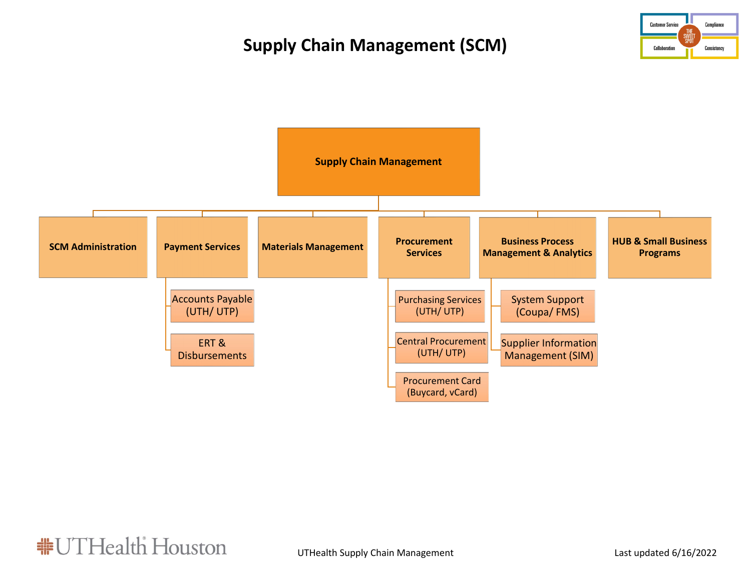# **Supply Chain Management (SCM)**





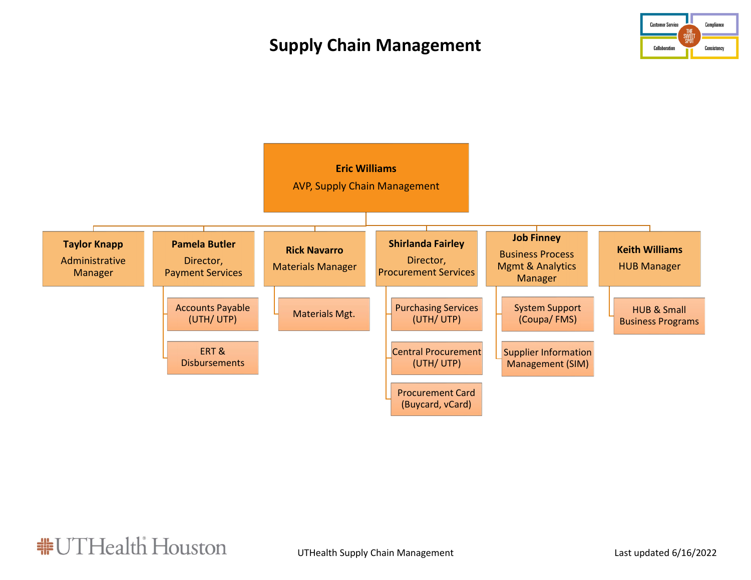# **Supply Chain Management**





**非UTHealth Houston**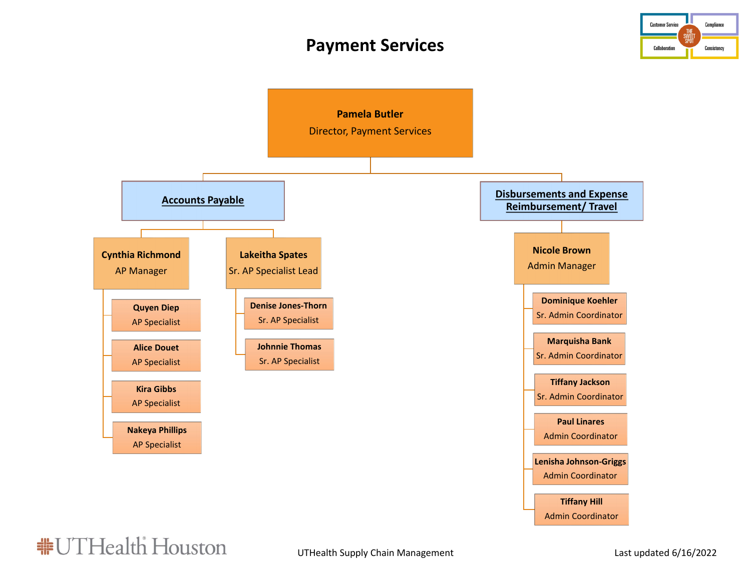#### **Payment Services**





**非UTHealth Houston**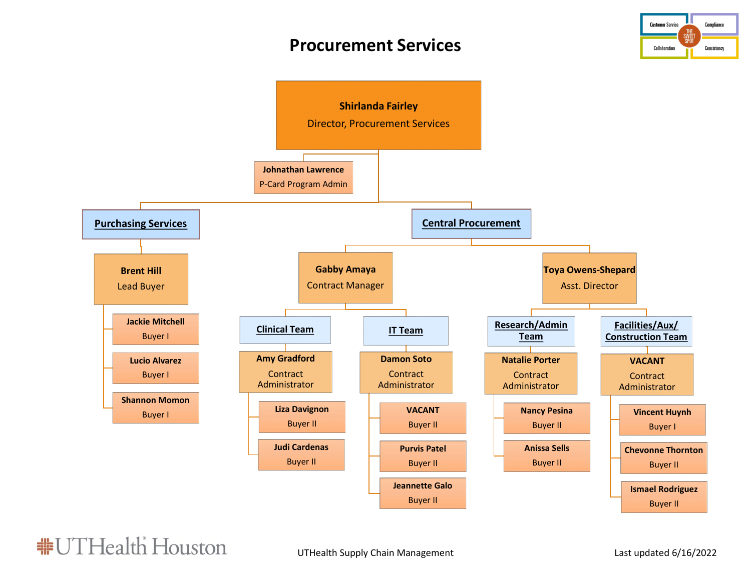#### **Procurement Services**





**非UTHealth Houston**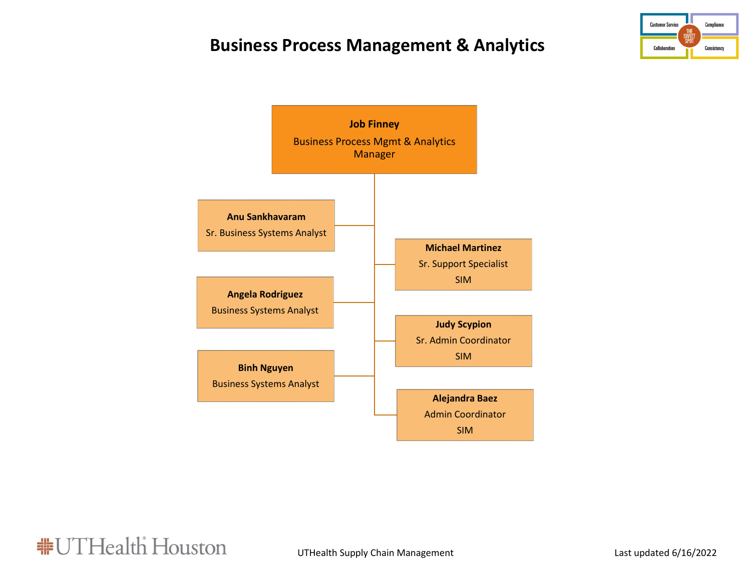# **Business Process Management & Analytics**





**#UTHealth Houston**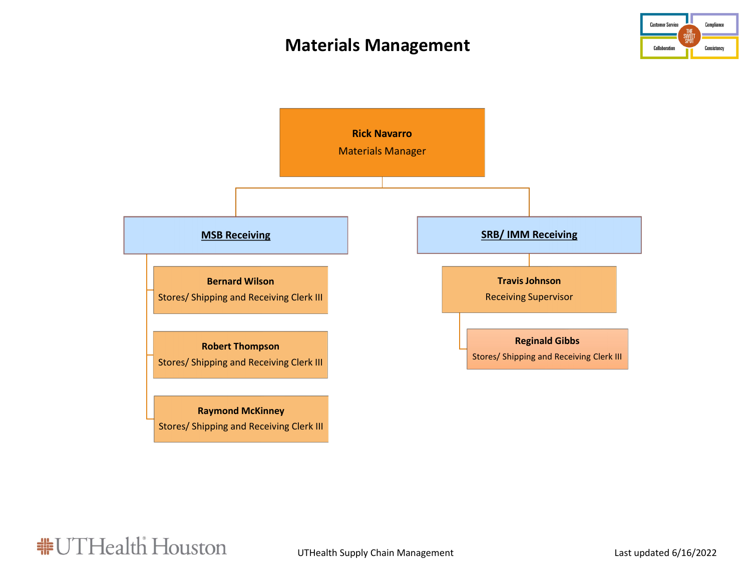### **Materials Management**





**#UTHealth Houston**